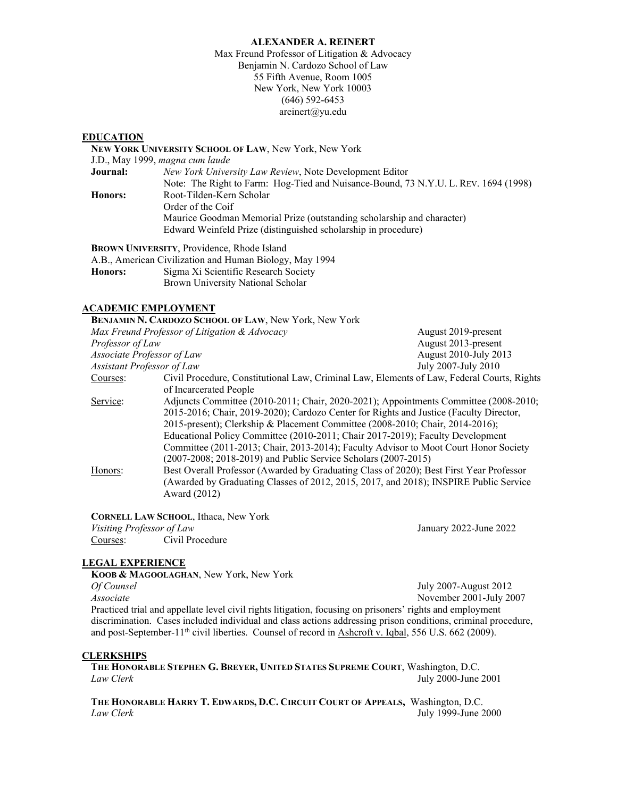## **ALEXANDER A. REINERT**

Max Freund Professor of Litigation & Advocacy Benjamin N. Cardozo School of Law 55 Fifth Avenue, Room 1005 New York, New York 10003 (646) 592-6453 areinert@yu.edu

# **EDUCATION**

|                | NEW YORK UNIVERSITY SCHOOL OF LAW, New York, New York                               |
|----------------|-------------------------------------------------------------------------------------|
|                | J.D., May 1999, magna cum laude                                                     |
| Journal:       | New York University Law Review, Note Development Editor                             |
|                | Note: The Right to Farm: Hog-Tied and Nuisance-Bound, 73 N.Y.U. L. REV. 1694 (1998) |
| <b>Honors:</b> | Root-Tilden-Kern Scholar                                                            |
|                | Order of the Coif                                                                   |
|                | Maurice Goodman Memorial Prize (outstanding scholarship and character)              |
|                | Edward Weinfeld Prize (distinguished scholarship in procedure)                      |
|                |                                                                                     |

**BROWN UNIVERSITY**, Providence, Rhode Island

A.B., American Civilization and Human Biology, May 1994 **Honors:** Sigma Xi Scientific Research Society Brown University National Scholar

### **ACADEMIC EMPLOYMENT**

|                                               | BENJAMIN N. CARDOZO SCHOOL OF LAW, New York, New York                                      |                       |
|-----------------------------------------------|--------------------------------------------------------------------------------------------|-----------------------|
| Max Freund Professor of Litigation & Advocacy |                                                                                            | August 2019-present   |
| Professor of Law                              |                                                                                            | August 2013-present   |
| Associate Professor of Law                    |                                                                                            | August 2010-July 2013 |
| <b>Assistant Professor of Law</b>             |                                                                                            | July 2007-July 2010   |
| Courses:                                      | Civil Procedure, Constitutional Law, Criminal Law, Elements of Law, Federal Courts, Rights |                       |
|                                               | of Incarcerated People                                                                     |                       |
| Service:                                      | Adjuncts Committee (2010-2011; Chair, 2020-2021); Appointments Committee (2008-2010;       |                       |
|                                               | 2015-2016; Chair, 2019-2020); Cardozo Center for Rights and Justice (Faculty Director,     |                       |
|                                               | 2015-present); Clerkship & Placement Committee (2008-2010; Chair, 2014-2016);              |                       |
|                                               | Educational Policy Committee (2010-2011; Chair 2017-2019); Faculty Development             |                       |
|                                               | Committee (2011-2013; Chair, 2013-2014); Faculty Advisor to Moot Court Honor Society       |                       |
|                                               | (2007-2008; 2018-2019) and Public Service Scholars (2007-2015)                             |                       |
| Honors:                                       | Best Overall Professor (Awarded by Graduating Class of 2020); Best First Year Professor    |                       |
|                                               | (Awarded by Graduating Classes of 2012, 2015, 2017, and 2018); INSPIRE Public Service      |                       |
|                                               | Award (2012)                                                                               |                       |
|                                               |                                                                                            |                       |

**CORNELL LAW SCHOOL**, Ithaca, New York *Visiting Professor of Law* January 2022-June 2022 Courses: Civil Procedure

### **LEGAL EXPERIENCE**

**KOOB & MAGOOLAGHAN**, New York, New York *Of Counsel* July 2007-August 2012 *Associate* November 2001-July 2007 Practiced trial and appellate level civil rights litigation, focusing on prisoners' rights and employment discrimination. Cases included individual and class actions addressing prison conditions, criminal procedure, and post-September-11<sup>th</sup> civil liberties. Counsel of record in Ashcroft v. Iqbal, 556 U.S. 662 (2009).

### **CLERKSHIPS**

**THE HONORABLE STEPHEN G. BREYER, UNITED STATES SUPREME COURT**, Washington, D.C. *Law Clerk* July 2000-June 2001

**THE HONORABLE HARRY T. EDWARDS, D.C. CIRCUIT COURT OF APPEALS,** Washington, D.C. *Law Clerk* July 1999-June 2000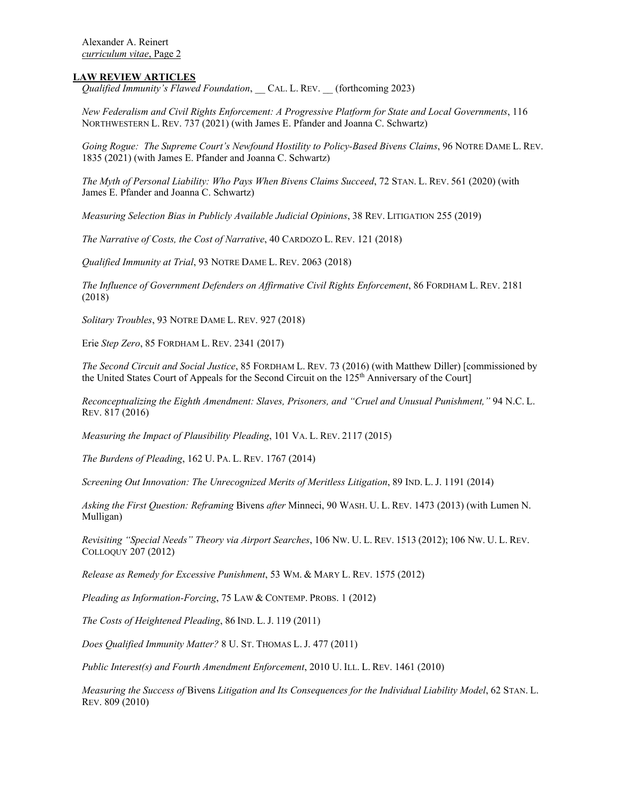## **LAW REVIEW ARTICLES**

*Qualified Immunity's Flawed Foundation*, \_\_ CAL. L. REV. \_\_ (forthcoming 2023)

*New Federalism and Civil Rights Enforcement: A Progressive Platform for State and Local Governments*, 116 NORTHWESTERN L. REV. 737 (2021) (with James E. Pfander and Joanna C. Schwartz)

*Going Rogue: The Supreme Court's Newfound Hostility to Policy-Based Bivens Claims*, 96 NOTRE DAME L. REV. 1835 (2021) (with James E. Pfander and Joanna C. Schwartz)

*The Myth of Personal Liability: Who Pays When Bivens Claims Succeed*, 72 STAN. L. REV. 561 (2020) (with James E. Pfander and Joanna C. Schwartz)

*Measuring Selection Bias in Publicly Available Judicial Opinions*, 38 REV. LITIGATION 255 (2019)

*The Narrative of Costs, the Cost of Narrative*, 40 CARDOZO L. REV. 121 (2018)

*Qualified Immunity at Trial*, 93 NOTRE DAME L. REV. 2063 (2018)

*The Influence of Government Defenders on Affirmative Civil Rights Enforcement*, 86 FORDHAM L. REV. 2181 (2018)

*Solitary Troubles*, 93 NOTRE DAME L. REV. 927 (2018)

Erie *Step Zero*, 85 FORDHAM L. REV. 2341 (2017)

*The Second Circuit and Social Justice*, 85 FORDHAM L. REV. 73 (2016) (with Matthew Diller) [commissioned by the United States Court of Appeals for the Second Circuit on the 125<sup>th</sup> Anniversary of the Court]

*Reconceptualizing the Eighth Amendment: Slaves, Prisoners, and "Cruel and Unusual Punishment,"* 94 N.C. L. REV. 817 (2016)

*Measuring the Impact of Plausibility Pleading*, 101 VA. L. REV. 2117 (2015)

*The Burdens of Pleading*, 162 U. PA. L. REV. 1767 (2014)

*Screening Out Innovation: The Unrecognized Merits of Meritless Litigation*, 89 IND. L. J. 1191 (2014)

*Asking the First Question: Reframing* Bivens *after* Minneci, 90 WASH. U. L. REV. 1473 (2013) (with Lumen N. Mulligan)

*Revisiting "Special Needs" Theory via Airport Searches*, 106 NW. U. L. REV. 1513 (2012); 106 NW. U. L. REV. COLLOQUY 207 (2012)

*Release as Remedy for Excessive Punishment*, 53 WM. & MARY L. REV. 1575 (2012)

*Pleading as Information-Forcing*, 75 LAW & CONTEMP. PROBS. 1 (2012)

*The Costs of Heightened Pleading*, 86 IND. L. J. 119 (2011)

*Does Qualified Immunity Matter?* 8 U. ST. THOMAS L. J. 477 (2011)

*Public Interest(s) and Fourth Amendment Enforcement*, 2010 U. ILL. L. REV. 1461 (2010)

*Measuring the Success of* Bivens *Litigation and Its Consequences for the Individual Liability Model*, 62 STAN. L. REV. 809 (2010)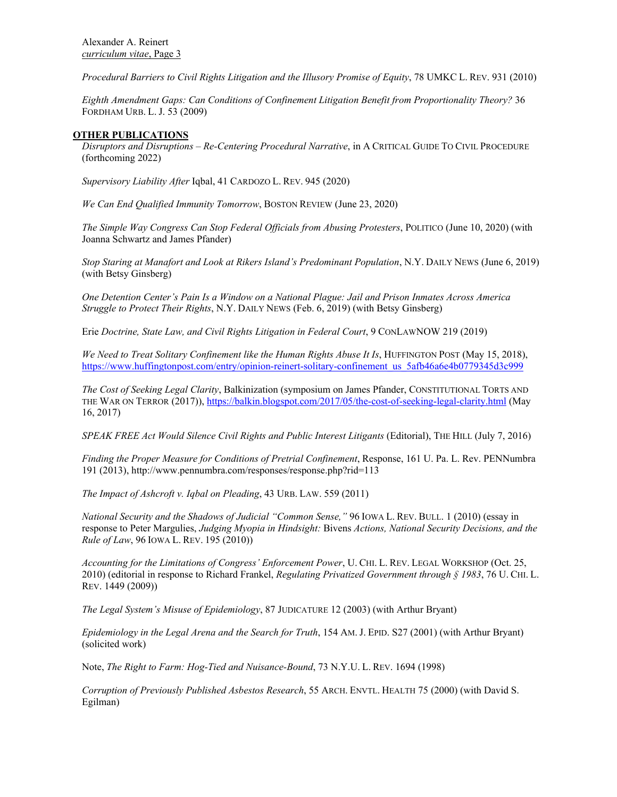*Procedural Barriers to Civil Rights Litigation and the Illusory Promise of Equity*, 78 UMKC L. REV. 931 (2010)

*Eighth Amendment Gaps: Can Conditions of Confinement Litigation Benefit from Proportionality Theory?* 36 FORDHAM URB. L. J. 53 (2009)

## **OTHER PUBLICATIONS**

*Disruptors and Disruptions – Re-Centering Procedural Narrative*, in A CRITICAL GUIDE TO CIVIL PROCEDURE (forthcoming 2022)

*Supervisory Liability After* Iqbal, 41 CARDOZO L. REV. 945 (2020)

*We Can End Qualified Immunity Tomorrow*, BOSTON REVIEW (June 23, 2020)

*The Simple Way Congress Can Stop Federal Officials from Abusing Protesters*, POLITICO (June 10, 2020) (with Joanna Schwartz and James Pfander)

*Stop Staring at Manafort and Look at Rikers Island's Predominant Population*, N.Y. DAILY NEWS (June 6, 2019) (with Betsy Ginsberg)

*One Detention Center's Pain Is a Window on a National Plague: Jail and Prison Inmates Across America Struggle to Protect Their Rights*, N.Y. DAILY NEWS (Feb. 6, 2019) (with Betsy Ginsberg)

Erie *Doctrine, State Law, and Civil Rights Litigation in Federal Court*, 9 CONLAWNOW 219 (2019)

*We Need to Treat Solitary Confinement like the Human Rights Abuse It Is*, HUFFINGTON POST (May 15, 2018), https://www.huffingtonpost.com/entry/opinion-reinert-solitary-confinement\_us\_5afb46a6e4b0779345d3c999

*The Cost of Seeking Legal Clarity*, Balkinization (symposium on James Pfander, CONSTITUTIONAL TORTS AND THE WAR ON TERROR (2017)),<https://balkin.blogspot.com/2017/05/the-cost-of-seeking-legal-clarity.html> (May 16, 2017)

*SPEAK FREE Act Would Silence Civil Rights and Public Interest Litigants* (Editorial), THE HILL (July 7, 2016)

*Finding the Proper Measure for Conditions of Pretrial Confinement*, Response, 161 U. Pa. L. Rev. PENNumbra 191 (2013), http://www.pennumbra.com/responses/response.php?rid=113

*The Impact of Ashcroft v. Iqbal on Pleading*, 43 URB. LAW. 559 (2011)

*National Security and the Shadows of Judicial "Common Sense,"* 96 IOWA L. REV. BULL. 1 (2010) (essay in response to Peter Margulies, *Judging Myopia in Hindsight:* Bivens *Actions, National Security Decisions, and the Rule of Law*, 96 IOWA L. REV. 195 (2010))

*Accounting for the Limitations of Congress' Enforcement Power*, U. CHI. L. REV. LEGAL WORKSHOP (Oct. 25, 2010) (editorial in response to Richard Frankel, *Regulating Privatized Government through § 1983*, 76 U. CHI. L. REV. 1449 (2009))

*The Legal System's Misuse of Epidemiology*, 87 JUDICATURE 12 (2003) (with Arthur Bryant)

*Epidemiology in the Legal Arena and the Search for Truth*, 154 AM. J. EPID. S27 (2001) (with Arthur Bryant) (solicited work)

Note, *The Right to Farm: Hog-Tied and Nuisance-Bound*, 73 N.Y.U. L. REV. 1694 (1998)

*Corruption of Previously Published Asbestos Research*, 55 ARCH. ENVTL. HEALTH 75 (2000) (with David S. Egilman)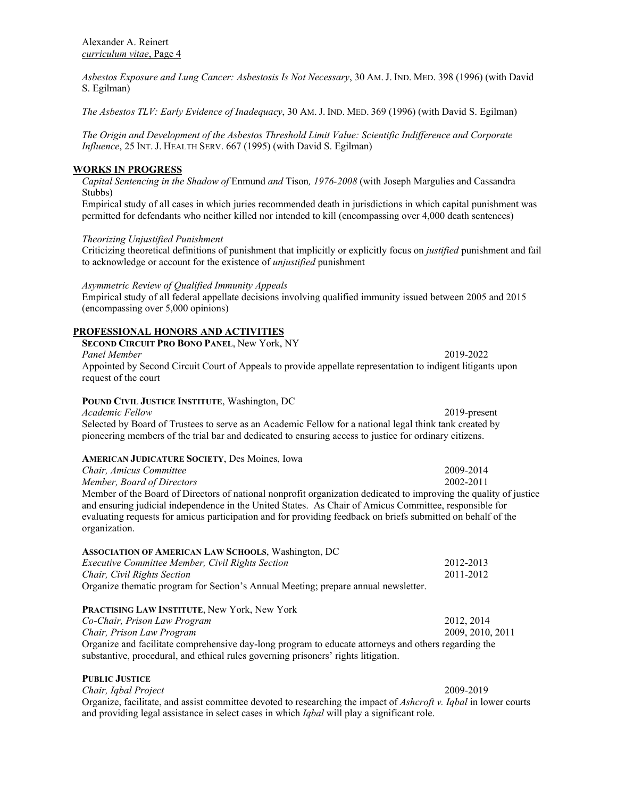*Asbestos Exposure and Lung Cancer: Asbestosis Is Not Necessary*, 30 AM.J. IND. MED. 398 (1996) (with David S. Egilman)

*The Asbestos TLV: Early Evidence of Inadequacy*, 30 AM. J. IND. MED. 369 (1996) (with David S. Egilman)

*The Origin and Development of the Asbestos Threshold Limit Value: Scientific Indifference and Corporate Influence*, 25 INT. J. HEALTH SERV. 667 (1995) (with David S. Egilman)

# **WORKS IN PROGRESS**

*Capital Sentencing in the Shadow of* Enmund *and* Tison*, 1976-2008* (with Joseph Margulies and Cassandra Stubbs)

Empirical study of all cases in which juries recommended death in jurisdictions in which capital punishment was permitted for defendants who neither killed nor intended to kill (encompassing over 4,000 death sentences)

### *Theorizing Unjustified Punishment*

Criticizing theoretical definitions of punishment that implicitly or explicitly focus on *justified* punishment and fail to acknowledge or account for the existence of *unjustified* punishment

*Asymmetric Review of Qualified Immunity Appeals*

Empirical study of all federal appellate decisions involving qualified immunity issued between 2005 and 2015 (encompassing over 5,000 opinions)

## **PROFESSIONAL HONORS AND ACTIVITIES**

**SECOND CIRCUIT PRO BONO PANEL**, New York, NY *Panel Member* 2019-2022 Appointed by Second Circuit Court of Appeals to provide appellate representation to indigent litigants upon request of the court

## **POUND CIVIL JUSTICE INSTITUTE**, Washington, DC

*Academic Fellow* 2019-present Selected by Board of Trustees to serve as an Academic Fellow for a national legal think tank created by pioneering members of the trial bar and dedicated to ensuring access to justice for ordinary citizens.

### **AMERICAN JUDICATURE SOCIETY**, Des Moines, Iowa

| Chair, Amicus Committee                                                                                           | 2009-2014 |  |
|-------------------------------------------------------------------------------------------------------------------|-----------|--|
| Member, Board of Directors                                                                                        | 2002-2011 |  |
| Member of the Board of Directors of national nonprofit organization dedicated to improving the quality of justice |           |  |
| and ensuring judicial independence in the United States. As Chair of Amicus Committee, responsible for            |           |  |
| evaluating requests for amicus participation and for providing feedback on briefs submitted on behalf of the      |           |  |
| organization.                                                                                                     |           |  |

| <b>ASSOCIATION OF AMERICAN LAW SCHOOLS, Washington, DC</b>                         |           |
|------------------------------------------------------------------------------------|-----------|
| <i>Executive Committee Member, Civil Rights Section</i>                            | 2012-2013 |
| Chair, Civil Rights Section                                                        | 2011-2012 |
| Organize thematic program for Section's Annual Meeting; prepare annual newsletter. |           |
| <b>PRACTISING LAW INSTITUTE, New York, New York</b>                                |           |

*Co-Chair, Prison Law Program* 2012, 2014 *Chair, Prison Law Program* 2009, 2010, 2011 Organize and facilitate comprehensive day-long program to educate attorneys and others regarding the substantive, procedural, and ethical rules governing prisoners' rights litigation.

**PUBLIC JUSTICE** *Chair, Iqbal Project* 2009-2019 Organize, facilitate, and assist committee devoted to researching the impact of *Ashcroft v. Iqbal* in lower courts and providing legal assistance in select cases in which *Iqbal* will play a significant role.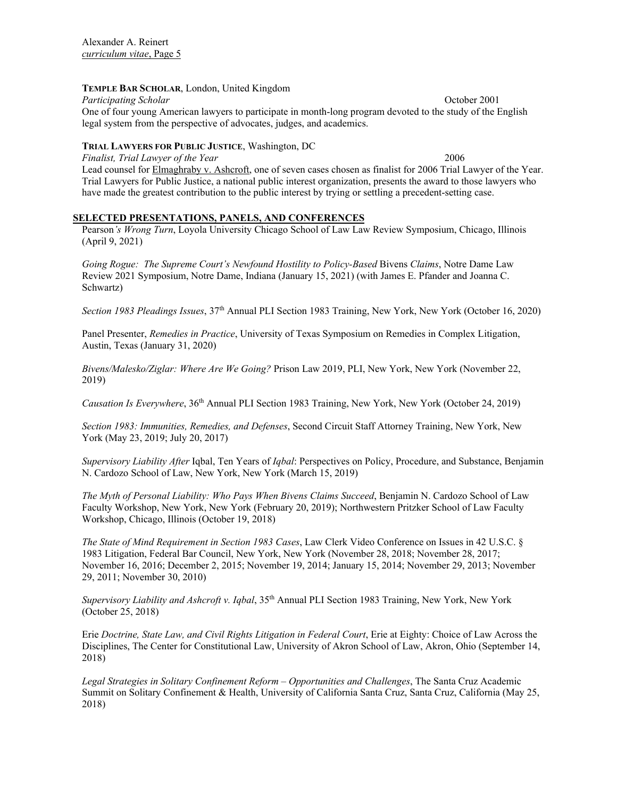# **TEMPLE BAR SCHOLAR**, London, United Kingdom

*Participating Scholar*  $\qquad \qquad$  October 2001 One of four young American lawyers to participate in month-long program devoted to the study of the English legal system from the perspective of advocates, judges, and academics.

# **TRIAL LAWYERS FOR PUBLIC JUSTICE**, Washington, DC

*Finalist, Trial Lawyer of the Year* 2006 Lead counsel for Elmaghraby v. Ashcroft, one of seven cases chosen as finalist for 2006 Trial Lawyer of the Year. Trial Lawyers for Public Justice, a national public interest organization, presents the award to those lawyers who have made the greatest contribution to the public interest by trying or settling a precedent-setting case.

# **SELECTED PRESENTATIONS, PANELS, AND CONFERENCES**

Pearson*'s Wrong Turn*, Loyola University Chicago School of Law Law Review Symposium, Chicago, Illinois (April 9, 2021)

*Going Rogue: The Supreme Court's Newfound Hostility to Policy-Based* Bivens *Claims*, Notre Dame Law Review 2021 Symposium, Notre Dame, Indiana (January 15, 2021) (with James E. Pfander and Joanna C. Schwartz)

*Section 1983 Pleadings Issues*, 37th Annual PLI Section 1983 Training, New York, New York (October 16, 2020)

Panel Presenter, *Remedies in Practice*, University of Texas Symposium on Remedies in Complex Litigation, Austin, Texas (January 31, 2020)

*Bivens/Malesko/Ziglar: Where Are We Going?* Prison Law 2019, PLI, New York, New York (November 22, 2019)

*Causation Is Everywhere*, 36th Annual PLI Section 1983 Training, New York, New York (October 24, 2019)

*Section 1983: Immunities, Remedies, and Defenses*, Second Circuit Staff Attorney Training, New York, New York (May 23, 2019; July 20, 2017)

*Supervisory Liability After* Iqbal, Ten Years of *Iqbal*: Perspectives on Policy, Procedure, and Substance, Benjamin N. Cardozo School of Law, New York, New York (March 15, 2019)

*The Myth of Personal Liability: Who Pays When Bivens Claims Succeed*, Benjamin N. Cardozo School of Law Faculty Workshop, New York, New York (February 20, 2019); Northwestern Pritzker School of Law Faculty Workshop, Chicago, Illinois (October 19, 2018)

*The State of Mind Requirement in Section 1983 Cases*, Law Clerk Video Conference on Issues in 42 U.S.C. § 1983 Litigation, Federal Bar Council, New York, New York (November 28, 2018; November 28, 2017; November 16, 2016; December 2, 2015; November 19, 2014; January 15, 2014; November 29, 2013; November 29, 2011; November 30, 2010)

*Supervisory Liability and Ashcroft v. Iqbal*, 35th Annual PLI Section 1983 Training, New York, New York (October 25, 2018)

Erie *Doctrine, State Law, and Civil Rights Litigation in Federal Court*, Erie at Eighty: Choice of Law Across the Disciplines, The Center for Constitutional Law, University of Akron School of Law, Akron, Ohio (September 14, 2018)

*Legal Strategies in Solitary Confinement Reform – Opportunities and Challenges*, The Santa Cruz Academic Summit on Solitary Confinement & Health, University of California Santa Cruz, Santa Cruz, California (May 25, 2018)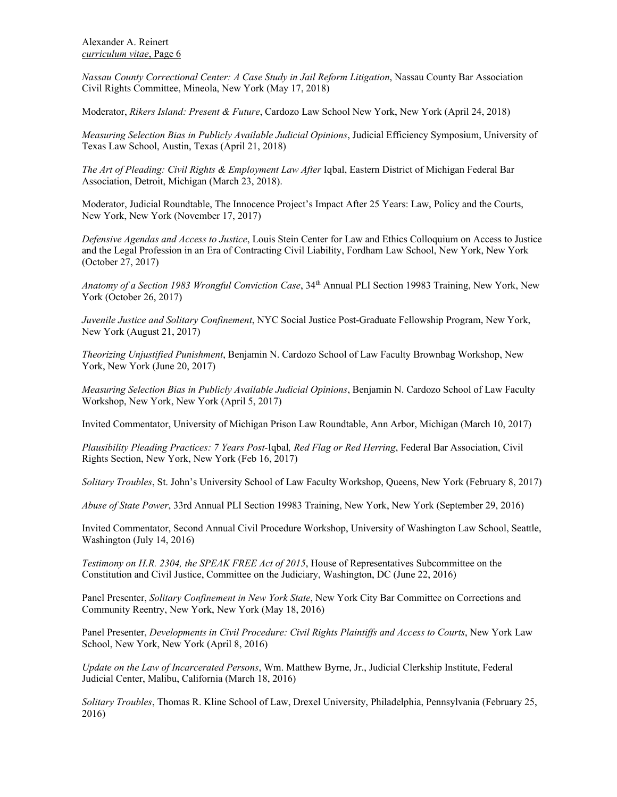*Nassau County Correctional Center: A Case Study in Jail Reform Litigation*, Nassau County Bar Association Civil Rights Committee, Mineola, New York (May 17, 2018)

Moderator, *Rikers Island: Present & Future*, Cardozo Law School New York, New York (April 24, 2018)

*Measuring Selection Bias in Publicly Available Judicial Opinions*, Judicial Efficiency Symposium, University of Texas Law School, Austin, Texas (April 21, 2018)

*The Art of Pleading: Civil Rights & Employment Law After* Iqbal, Eastern District of Michigan Federal Bar Association, Detroit, Michigan (March 23, 2018).

Moderator, Judicial Roundtable, The Innocence Project's Impact After 25 Years: Law, Policy and the Courts, New York, New York (November 17, 2017)

*Defensive Agendas and Access to Justice*, Louis Stein Center for Law and Ethics Colloquium on Access to Justice and the Legal Profession in an Era of Contracting Civil Liability, Fordham Law School, New York, New York (October 27, 2017)

*Anatomy of a Section 1983 Wrongful Conviction Case*, 34th Annual PLI Section 19983 Training, New York, New York (October 26, 2017)

*Juvenile Justice and Solitary Confinement*, NYC Social Justice Post-Graduate Fellowship Program, New York, New York (August 21, 2017)

*Theorizing Unjustified Punishment*, Benjamin N. Cardozo School of Law Faculty Brownbag Workshop, New York, New York (June 20, 2017)

*Measuring Selection Bias in Publicly Available Judicial Opinions*, Benjamin N. Cardozo School of Law Faculty Workshop, New York, New York (April 5, 2017)

Invited Commentator, University of Michigan Prison Law Roundtable, Ann Arbor, Michigan (March 10, 2017)

*Plausibility Pleading Practices: 7 Years Post-*Iqbal*, Red Flag or Red Herring*, Federal Bar Association, Civil Rights Section, New York, New York (Feb 16, 2017)

*Solitary Troubles*, St. John's University School of Law Faculty Workshop, Queens, New York (February 8, 2017)

*Abuse of State Power*, 33rd Annual PLI Section 19983 Training, New York, New York (September 29, 2016)

Invited Commentator, Second Annual Civil Procedure Workshop, University of Washington Law School, Seattle, Washington (July 14, 2016)

*Testimony on H.R. 2304, the SPEAK FREE Act of 2015*, House of Representatives Subcommittee on the Constitution and Civil Justice, Committee on the Judiciary, Washington, DC (June 22, 2016)

Panel Presenter, *Solitary Confinement in New York State*, New York City Bar Committee on Corrections and Community Reentry, New York, New York (May 18, 2016)

Panel Presenter, *Developments in Civil Procedure: Civil Rights Plaintiffs and Access to Courts*, New York Law School, New York, New York (April 8, 2016)

*Update on the Law of Incarcerated Persons*, Wm. Matthew Byrne, Jr., Judicial Clerkship Institute, Federal Judicial Center, Malibu, California (March 18, 2016)

*Solitary Troubles*, Thomas R. Kline School of Law, Drexel University, Philadelphia, Pennsylvania (February 25, 2016)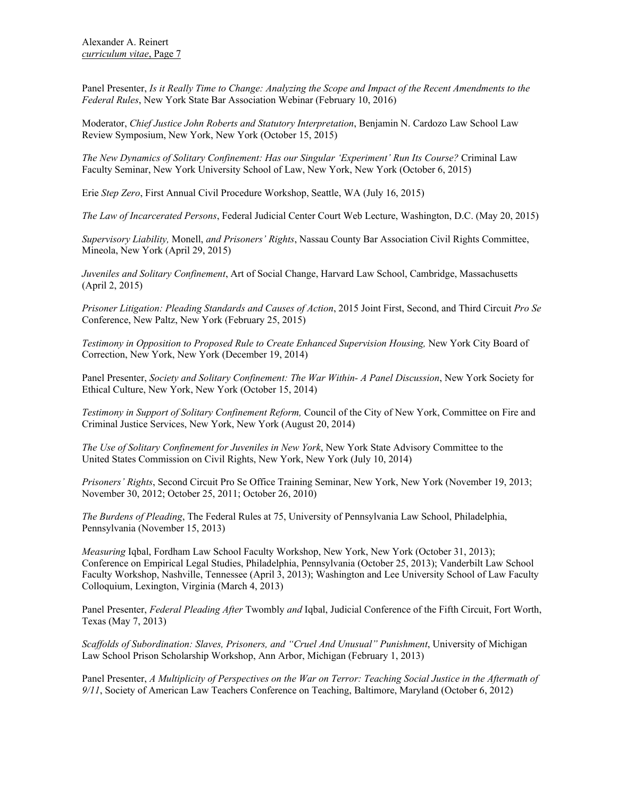Panel Presenter, *Is it Really Time to Change: Analyzing the Scope and Impact of the Recent Amendments to the Federal Rules*, New York State Bar Association Webinar (February 10, 2016)

Moderator, *Chief Justice John Roberts and Statutory Interpretation*, Benjamin N. Cardozo Law School Law Review Symposium, New York, New York (October 15, 2015)

*The New Dynamics of Solitary Confinement: Has our Singular 'Experiment' Run Its Course?* Criminal Law Faculty Seminar, New York University School of Law, New York, New York (October 6, 2015)

Erie *Step Zero*, First Annual Civil Procedure Workshop, Seattle, WA (July 16, 2015)

*The Law of Incarcerated Persons*, Federal Judicial Center Court Web Lecture, Washington, D.C. (May 20, 2015)

*Supervisory Liability,* Monell, *and Prisoners' Rights*, Nassau County Bar Association Civil Rights Committee, Mineola, New York (April 29, 2015)

*Juveniles and Solitary Confinement*, Art of Social Change, Harvard Law School, Cambridge, Massachusetts (April 2, 2015)

*Prisoner Litigation: Pleading Standards and Causes of Action*, 2015 Joint First, Second, and Third Circuit *Pro Se* Conference, New Paltz, New York (February 25, 2015)

Testimony in Opposition to Proposed Rule to Create Enhanced Supervision Housing, New York City Board of Correction, New York, New York (December 19, 2014)

Panel Presenter, *Society and Solitary Confinement: The War Within- A Panel Discussion*, New York Society for Ethical Culture, New York, New York (October 15, 2014)

*Testimony in Support of Solitary Confinement Reform,* Council of the City of New York, Committee on Fire and Criminal Justice Services, New York, New York (August 20, 2014)

*The Use of Solitary Confinement for Juveniles in New York*, New York State Advisory Committee to the United States Commission on Civil Rights, New York, New York (July 10, 2014)

*Prisoners' Rights*, Second Circuit Pro Se Office Training Seminar, New York, New York (November 19, 2013; November 30, 2012; October 25, 2011; October 26, 2010)

*The Burdens of Pleading*, The Federal Rules at 75, University of Pennsylvania Law School, Philadelphia, Pennsylvania (November 15, 2013)

*Measuring* Iqbal, Fordham Law School Faculty Workshop, New York, New York (October 31, 2013); Conference on Empirical Legal Studies, Philadelphia, Pennsylvania (October 25, 2013); Vanderbilt Law School Faculty Workshop, Nashville, Tennessee (April 3, 2013); Washington and Lee University School of Law Faculty Colloquium, Lexington, Virginia (March 4, 2013)

Panel Presenter, *Federal Pleading After* Twombly *and* Iqbal, Judicial Conference of the Fifth Circuit, Fort Worth, Texas (May 7, 2013)

*Scaffolds of Subordination: Slaves, Prisoners, and "Cruel And Unusual" Punishment*, University of Michigan Law School Prison Scholarship Workshop, Ann Arbor, Michigan (February 1, 2013)

Panel Presenter, *A Multiplicity of Perspectives on the War on Terror: Teaching Social Justice in the Aftermath of 9/11*, Society of American Law Teachers Conference on Teaching, Baltimore, Maryland (October 6, 2012)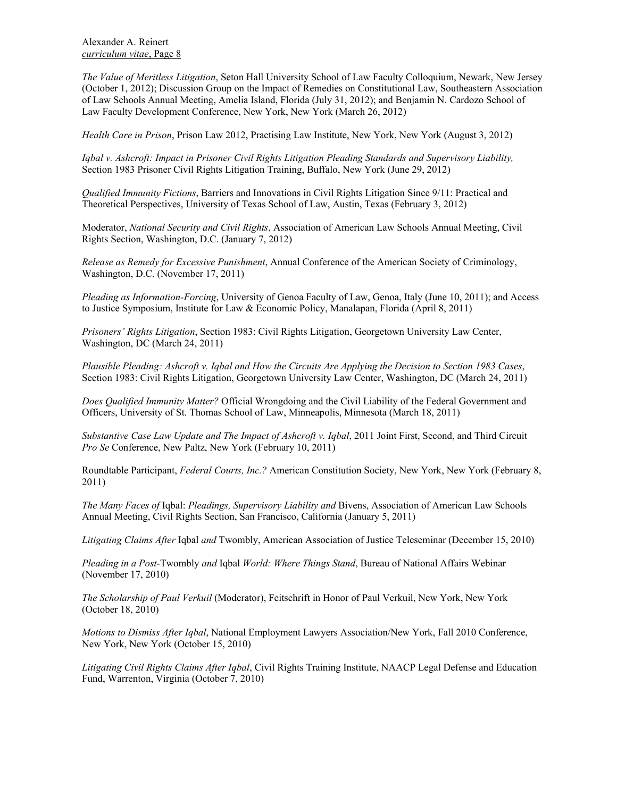*The Value of Meritless Litigation*, Seton Hall University School of Law Faculty Colloquium, Newark, New Jersey (October 1, 2012); Discussion Group on the Impact of Remedies on Constitutional Law, Southeastern Association of Law Schools Annual Meeting, Amelia Island, Florida (July 31, 2012); and Benjamin N. Cardozo School of Law Faculty Development Conference, New York, New York (March 26, 2012)

*Health Care in Prison*, Prison Law 2012, Practising Law Institute, New York, New York (August 3, 2012)

*Iqbal v. Ashcroft: Impact in Prisoner Civil Rights Litigation Pleading Standards and Supervisory Liability,* Section 1983 Prisoner Civil Rights Litigation Training, Buffalo, New York (June 29, 2012)

*Qualified Immunity Fictions*, Barriers and Innovations in Civil Rights Litigation Since 9/11: Practical and Theoretical Perspectives, University of Texas School of Law, Austin, Texas (February 3, 2012)

Moderator, *National Security and Civil Rights*, Association of American Law Schools Annual Meeting, Civil Rights Section, Washington, D.C. (January 7, 2012)

*Release as Remedy for Excessive Punishment*, Annual Conference of the American Society of Criminology, Washington, D.C. (November 17, 2011)

*Pleading as Information-Forcing*, University of Genoa Faculty of Law, Genoa, Italy (June 10, 2011); and Access to Justice Symposium, Institute for Law & Economic Policy, Manalapan, Florida (April 8, 2011)

*Prisoners' Rights Litigation*, Section 1983: Civil Rights Litigation, Georgetown University Law Center, Washington, DC (March 24, 2011)

*Plausible Pleading: Ashcroft v. Iqbal and How the Circuits Are Applying the Decision to Section 1983 Cases*, Section 1983: Civil Rights Litigation, Georgetown University Law Center, Washington, DC (March 24, 2011)

*Does Qualified Immunity Matter?* Official Wrongdoing and the Civil Liability of the Federal Government and Officers, University of St. Thomas School of Law, Minneapolis, Minnesota (March 18, 2011)

*Substantive Case Law Update and The Impact of Ashcroft v. Iqbal*, 2011 Joint First, Second, and Third Circuit *Pro Se* Conference, New Paltz, New York (February 10, 2011)

Roundtable Participant, *Federal Courts, Inc.?* American Constitution Society, New York, New York (February 8, 2011)

*The Many Faces of* Iqbal: *Pleadings, Supervisory Liability and* Bivens, Association of American Law Schools Annual Meeting, Civil Rights Section, San Francisco, California (January 5, 2011)

*Litigating Claims After* Iqbal *and* Twombly, American Association of Justice Teleseminar (December 15, 2010)

*Pleading in a Post-*Twombly *and* Iqbal *World: Where Things Stand*, Bureau of National Affairs Webinar (November 17, 2010)

*The Scholarship of Paul Verkuil* (Moderator), Feitschrift in Honor of Paul Verkuil, New York, New York (October 18, 2010)

*Motions to Dismiss After Iqbal*, National Employment Lawyers Association/New York, Fall 2010 Conference, New York, New York (October 15, 2010)

*Litigating Civil Rights Claims After Iqbal*, Civil Rights Training Institute, NAACP Legal Defense and Education Fund, Warrenton, Virginia (October 7, 2010)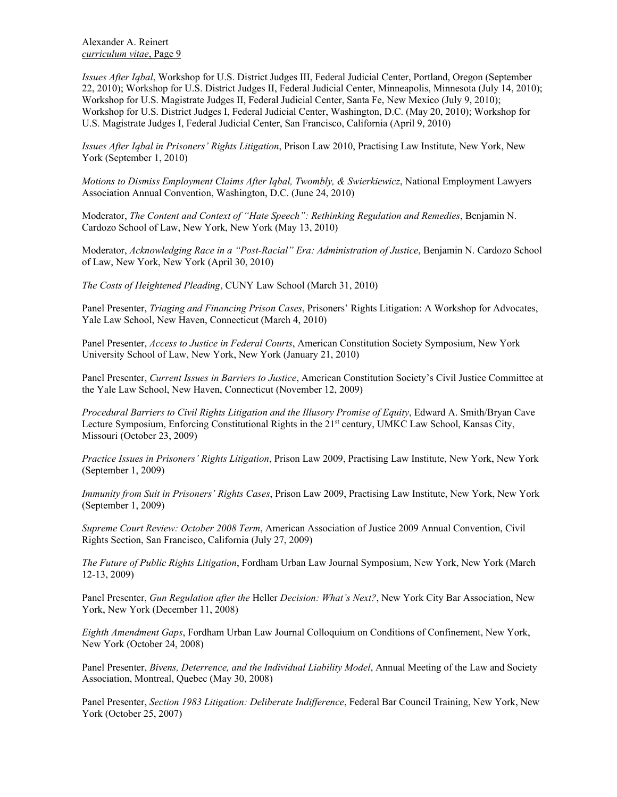*Issues After Iqbal*, Workshop for U.S. District Judges III, Federal Judicial Center, Portland, Oregon (September 22, 2010); Workshop for U.S. District Judges II, Federal Judicial Center, Minneapolis, Minnesota (July 14, 2010); Workshop for U.S. Magistrate Judges II, Federal Judicial Center, Santa Fe, New Mexico (July 9, 2010); Workshop for U.S. District Judges I, Federal Judicial Center, Washington, D.C. (May 20, 2010); Workshop for U.S. Magistrate Judges I, Federal Judicial Center, San Francisco, California (April 9, 2010)

*Issues After Iqbal in Prisoners' Rights Litigation*, Prison Law 2010, Practising Law Institute, New York, New York (September 1, 2010)

*Motions to Dismiss Employment Claims After Iqbal, Twombly, & Swierkiewicz*, National Employment Lawyers Association Annual Convention, Washington, D.C. (June 24, 2010)

Moderator, *The Content and Context of "Hate Speech": Rethinking Regulation and Remedies*, Benjamin N. Cardozo School of Law, New York, New York (May 13, 2010)

Moderator, *Acknowledging Race in a "Post-Racial" Era: Administration of Justice*, Benjamin N. Cardozo School of Law, New York, New York (April 30, 2010)

*The Costs of Heightened Pleading*, CUNY Law School (March 31, 2010)

Panel Presenter, *Triaging and Financing Prison Cases*, Prisoners' Rights Litigation: A Workshop for Advocates, Yale Law School, New Haven, Connecticut (March 4, 2010)

Panel Presenter, *Access to Justice in Federal Courts*, American Constitution Society Symposium, New York University School of Law, New York, New York (January 21, 2010)

Panel Presenter, *Current Issues in Barriers to Justice*, American Constitution Society's Civil Justice Committee at the Yale Law School, New Haven, Connecticut (November 12, 2009)

*Procedural Barriers to Civil Rights Litigation and the Illusory Promise of Equity*, Edward A. Smith/Bryan Cave Lecture Symposium, Enforcing Constitutional Rights in the 21<sup>st</sup> century, UMKC Law School, Kansas City, Missouri (October 23, 2009)

*Practice Issues in Prisoners' Rights Litigation*, Prison Law 2009, Practising Law Institute, New York, New York (September 1, 2009)

*Immunity from Suit in Prisoners' Rights Cases*, Prison Law 2009, Practising Law Institute, New York, New York (September 1, 2009)

*Supreme Court Review: October 2008 Term*, American Association of Justice 2009 Annual Convention, Civil Rights Section, San Francisco, California (July 27, 2009)

*The Future of Public Rights Litigation*, Fordham Urban Law Journal Symposium, New York, New York (March 12-13, 2009)

Panel Presenter, *Gun Regulation after the* Heller *Decision: What's Next?*, New York City Bar Association, New York, New York (December 11, 2008)

*Eighth Amendment Gaps*, Fordham Urban Law Journal Colloquium on Conditions of Confinement, New York, New York (October 24, 2008)

Panel Presenter, *Bivens, Deterrence, and the Individual Liability Model*, Annual Meeting of the Law and Society Association, Montreal, Quebec (May 30, 2008)

Panel Presenter, *Section 1983 Litigation: Deliberate Indifference*, Federal Bar Council Training, New York, New York (October 25, 2007)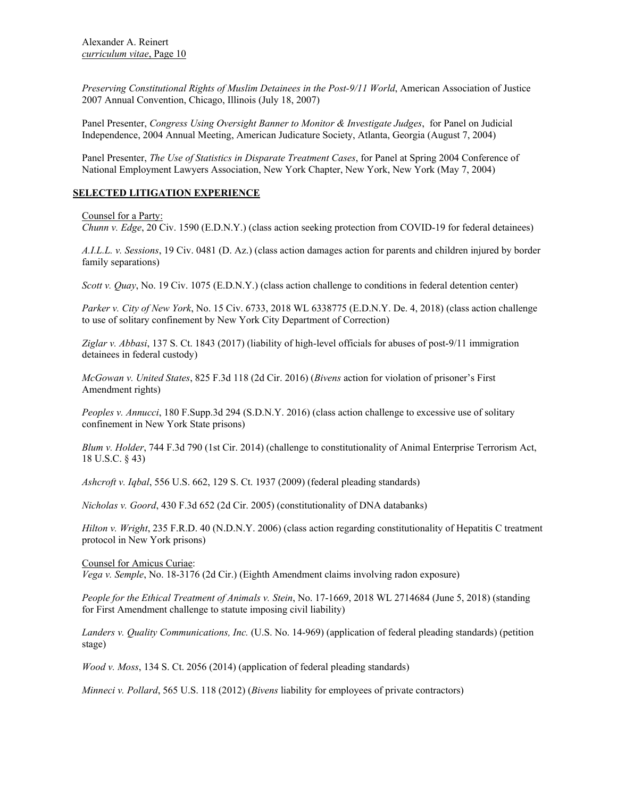*Preserving Constitutional Rights of Muslim Detainees in the Post-9/11 World*, American Association of Justice 2007 Annual Convention, Chicago, Illinois (July 18, 2007)

Panel Presenter, *Congress Using Oversight Banner to Monitor & Investigate Judges*, for Panel on Judicial Independence, 2004 Annual Meeting, American Judicature Society, Atlanta, Georgia (August 7, 2004)

Panel Presenter, *The Use of Statistics in Disparate Treatment Cases*, for Panel at Spring 2004 Conference of National Employment Lawyers Association, New York Chapter, New York, New York (May 7, 2004)

# **SELECTED LITIGATION EXPERIENCE**

### Counsel for a Party:

*Chunn v. Edge*, 20 Civ. 1590 (E.D.N.Y.) (class action seeking protection from COVID-19 for federal detainees)

*A.I.L.L. v. Sessions*, 19 Civ. 0481 (D. Az.) (class action damages action for parents and children injured by border family separations)

*Scott v. Quay*, No. 19 Civ. 1075 (E.D.N.Y.) (class action challenge to conditions in federal detention center)

*Parker v. City of New York*, No. 15 Civ. 6733, 2018 WL 6338775 (E.D.N.Y. De. 4, 2018) (class action challenge to use of solitary confinement by New York City Department of Correction)

*Ziglar v. Abbasi*, 137 S. Ct. 1843 (2017) (liability of high-level officials for abuses of post-9/11 immigration detainees in federal custody)

*McGowan v. United States*, 825 F.3d 118 (2d Cir. 2016) (*Bivens* action for violation of prisoner's First Amendment rights)

*Peoples v. Annucci*, 180 F.Supp.3d 294 (S.D.N.Y. 2016) (class action challenge to excessive use of solitary confinement in New York State prisons)

*Blum v. Holder*, 744 F.3d 790 (1st Cir. 2014) (challenge to constitutionality of Animal Enterprise Terrorism Act, 18 U.S.C. § 43)

*Ashcroft v. Iqbal*, 556 U.S. 662, 129 S. Ct. 1937 (2009) (federal pleading standards)

*Nicholas v. Goord*, 430 F.3d 652 (2d Cir. 2005) (constitutionality of DNA databanks)

*Hilton v. Wright*, 235 F.R.D. 40 (N.D.N.Y. 2006) (class action regarding constitutionality of Hepatitis C treatment protocol in New York prisons)

Counsel for Amicus Curiae: *Vega v. Semple*, No. 18-3176 (2d Cir.) (Eighth Amendment claims involving radon exposure)

*People for the Ethical Treatment of Animals v. Stein*, No. 17-1669, 2018 WL 2714684 (June 5, 2018) (standing for First Amendment challenge to statute imposing civil liability)

*Landers v. Quality Communications, Inc.* (U.S. No. 14-969) (application of federal pleading standards) (petition stage)

*Wood v. Moss*, 134 S. Ct. 2056 (2014) (application of federal pleading standards)

*Minneci v. Pollard*, 565 U.S. 118 (2012) (*Bivens* liability for employees of private contractors)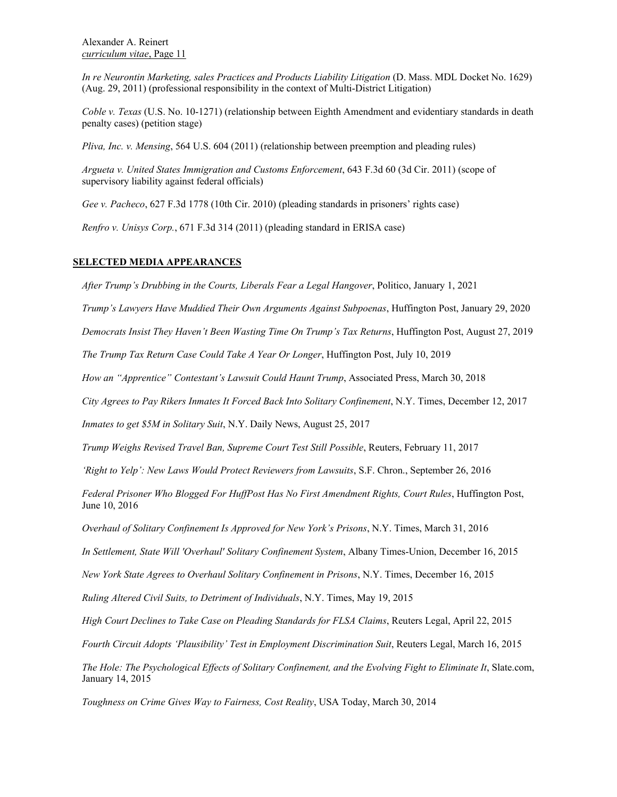*In re Neurontin Marketing, sales Practices and Products Liability Litigation* (D. Mass. MDL Docket No. 1629) (Aug. 29, 2011) (professional responsibility in the context of Multi-District Litigation)

*Coble v. Texas* (U.S. No. 10-1271) (relationship between Eighth Amendment and evidentiary standards in death penalty cases) (petition stage)

*Pliva, Inc. v. Mensing*, 564 U.S. 604 (2011) (relationship between preemption and pleading rules)

*Argueta v. United States Immigration and Customs Enforcement*, 643 F.3d 60 (3d Cir. 2011) (scope of supervisory liability against federal officials)

*Gee v. Pacheco*, 627 F.3d 1778 (10th Cir. 2010) (pleading standards in prisoners' rights case)

*Renfro v. Unisys Corp.*, 671 F.3d 314 (2011) (pleading standard in ERISA case)

# **SELECTED MEDIA APPEARANCES**

*After Trump's Drubbing in the Courts, Liberals Fear a Legal Hangover*, Politico, January 1, 2021

*Trump's Lawyers Have Muddied Their Own Arguments Against Subpoenas*, Huffington Post, January 29, 2020

*Democrats Insist They Haven't Been Wasting Time On Trump's Tax Returns*, Huffington Post, August 27, 2019

*The Trump Tax Return Case Could Take A Year Or Longer*, Huffington Post, July 10, 2019

*How an "Apprentice" Contestant's Lawsuit Could Haunt Trump*, Associated Press, March 30, 2018

*City Agrees to Pay Rikers Inmates It Forced Back Into Solitary Confinement*, N.Y. Times, December 12, 2017

*Inmates to get \$5M in Solitary Suit*, N.Y. Daily News, August 25, 2017

*Trump Weighs Revised Travel Ban, Supreme Court Test Still Possible*, Reuters, February 11, 2017

*'Right to Yelp': New Laws Would Protect Reviewers from Lawsuits*, S.F. Chron., September 26, 2016

*Federal Prisoner Who Blogged For HuffPost Has No First Amendment Rights, Court Rules*, Huffington Post, June 10, 2016

*Overhaul of Solitary Confinement Is Approved for New York's Prisons*, N.Y. Times, March 31, 2016

*In Settlement, State Will 'Overhaul' Solitary Confinement System*, Albany Times-Union, December 16, 2015

*New York State Agrees to Overhaul Solitary Confinement in Prisons*, N.Y. Times, December 16, 2015

*Ruling Altered Civil Suits, to Detriment of Individuals*, N.Y. Times, May 19, 2015

*High Court Declines to Take Case on Pleading Standards for FLSA Claims*, Reuters Legal, April 22, 2015

*Fourth Circuit Adopts 'Plausibility' Test in Employment Discrimination Suit*, Reuters Legal, March 16, 2015

*The Hole: The Psychological Effects of Solitary Confinement, and the Evolving Fight to Eliminate It*, Slate.com, January 14, 2015

*Toughness on Crime Gives Way to Fairness, Cost Reality*, USA Today, March 30, 2014